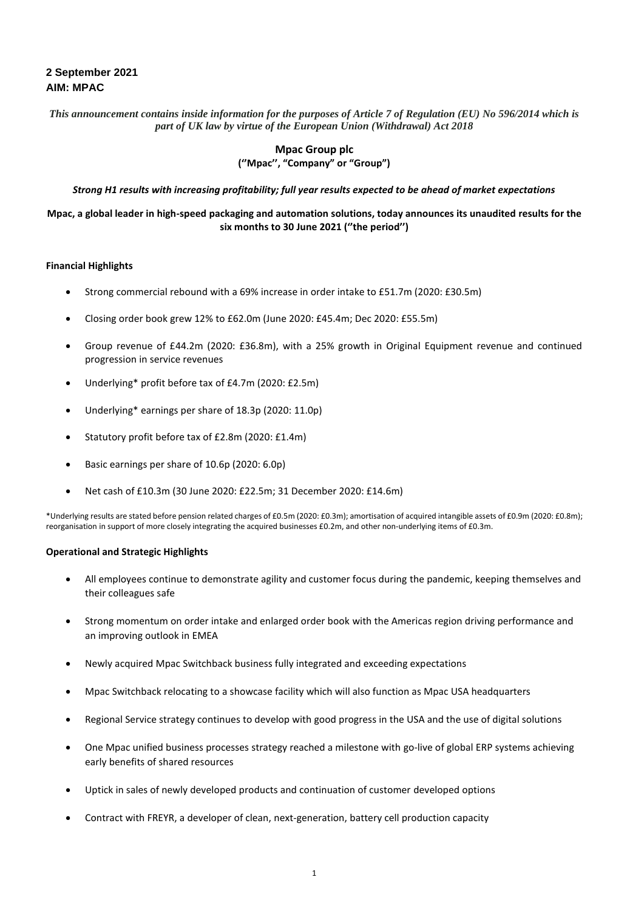*This announcement contains inside information for the purposes of Article 7 of Regulation (EU) No 596/2014 which is part of UK law by virtue of the European Union (Withdrawal) Act 2018*

# **Mpac Group plc (''Mpac'', "Company" or "Group")**

*Strong H1 results with increasing profitability; full year results expected to be ahead of market expectations*

# **Mpac, a global leader in high-speed packaging and automation solutions, today announces its unaudited results for the six months to 30 June 2021 (''the period'')**

### **Financial Highlights**

- Strong commercial rebound with a 69% increase in order intake to £51.7m (2020: £30.5m)
- Closing order book grew 12% to £62.0m (June 2020: £45.4m; Dec 2020: £55.5m)
- Group revenue of £44.2m (2020: £36.8m), with a 25% growth in Original Equipment revenue and continued progression in service revenues
- Underlying\* profit before tax of £4.7m (2020: £2.5m)
- Underlying\* earnings per share of 18.3p (2020: 11.0p)
- Statutory profit before tax of £2.8m (2020: £1.4m)
- Basic earnings per share of 10.6p (2020: 6.0p)
- Net cash of £10.3m (30 June 2020: £22.5m; 31 December 2020: £14.6m)

\*Underlying results are stated before pension related charges of £0.5m (2020: £0.3m); amortisation of acquired intangible assets of £0.9m (2020: £0.8m); reorganisation in support of more closely integrating the acquired businesses £0.2m, and other non-underlying items of £0.3m.

#### **Operational and Strategic Highlights**

- All employees continue to demonstrate agility and customer focus during the pandemic, keeping themselves and their colleagues safe
- Strong momentum on order intake and enlarged order book with the Americas region driving performance and an improving outlook in EMEA
- Newly acquired Mpac Switchback business fully integrated and exceeding expectations
- Mpac Switchback relocating to a showcase facility which will also function as Mpac USA headquarters
- Regional Service strategy continues to develop with good progress in the USA and the use of digital solutions
- One Mpac unified business processes strategy reached a milestone with go-live of global ERP systems achieving early benefits of shared resources
- Uptick in sales of newly developed products and continuation of customer developed options
- Contract with FREYR, a developer of clean, next-generation, battery cell production capacity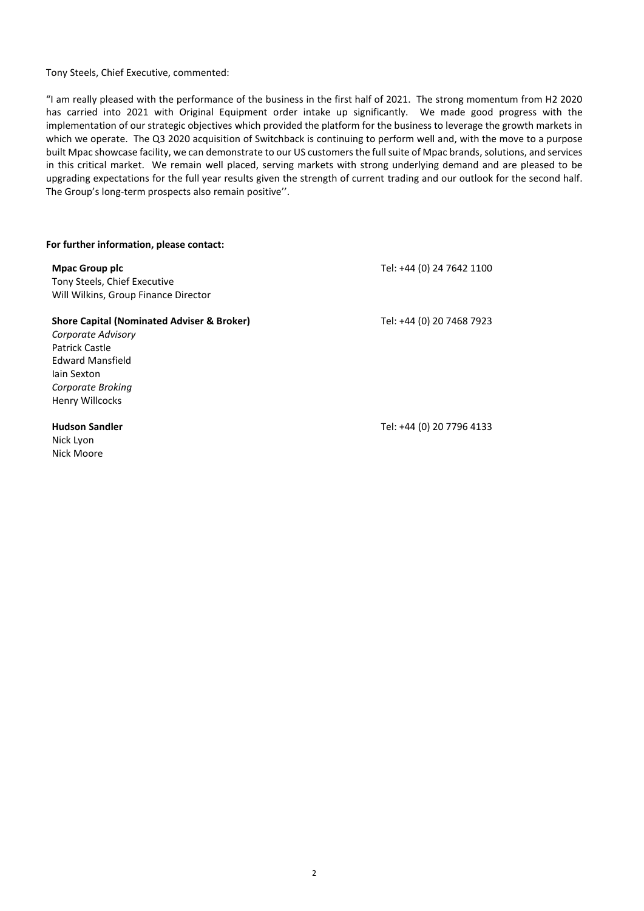Tony Steels, Chief Executive, commented:

"I am really pleased with the performance of the business in the first half of 2021. The strong momentum from H2 2020 has carried into 2021 with Original Equipment order intake up significantly. We made good progress with the implementation of our strategic objectives which provided the platform for the business to leverage the growth markets in which we operate. The Q3 2020 acquisition of Switchback is continuing to perform well and, with the move to a purpose built Mpac showcase facility, we can demonstrate to our US customers the full suite of Mpac brands, solutions, and services in this critical market. We remain well placed, serving markets with strong underlying demand and are pleased to be upgrading expectations for the full year results given the strength of current trading and our outlook for the second half. The Group's long-term prospects also remain positive''.

#### **For further information, please contact:**

**Mpac Group plc** Tony Steels, Chief Executive Will Wilkins, Group Finance Director

**Shore Capital (Nominated Adviser & Broker)**

Tel: +44 (0) 20 7468 7923

Tel: +44 (0) 24 7642 1100

Henry Willcocks **Hudson Sandler** Nick Lyon

Nick Moore

*Corporate Broking*

*Corporate Advisory* Patrick Castle Edward Mansfield Iain Sexton

Tel: +44 (0) 20 7796 4133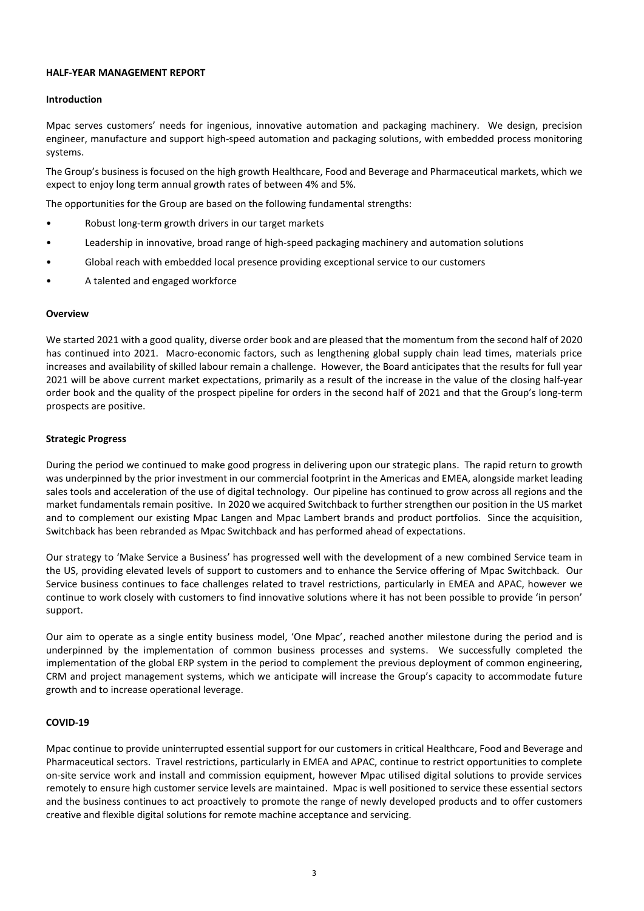### **HALF-YEAR MANAGEMENT REPORT**

### **Introduction**

Mpac serves customers' needs for ingenious, innovative automation and packaging machinery. We design, precision engineer, manufacture and support high-speed automation and packaging solutions, with embedded process monitoring systems.

The Group's business is focused on the high growth Healthcare, Food and Beverage and Pharmaceutical markets, which we expect to enjoy long term annual growth rates of between 4% and 5%.

The opportunities for the Group are based on the following fundamental strengths:

- Robust long-term growth drivers in our target markets
- Leadership in innovative, broad range of high-speed packaging machinery and automation solutions
- Global reach with embedded local presence providing exceptional service to our customers
- A talented and engaged workforce

#### **Overview**

We started 2021 with a good quality, diverse order book and are pleased that the momentum from the second half of 2020 has continued into 2021. Macro-economic factors, such as lengthening global supply chain lead times, materials price increases and availability of skilled labour remain a challenge. However, the Board anticipates that the results for full year 2021 will be above current market expectations, primarily as a result of the increase in the value of the closing half-year order book and the quality of the prospect pipeline for orders in the second half of 2021 and that the Group's long-term prospects are positive.

#### **Strategic Progress**

During the period we continued to make good progress in delivering upon our strategic plans. The rapid return to growth was underpinned by the prior investment in our commercial footprint in the Americas and EMEA, alongside market leading sales tools and acceleration of the use of digital technology. Our pipeline has continued to grow across all regions and the market fundamentals remain positive. In 2020 we acquired Switchback to further strengthen our position in the US market and to complement our existing Mpac Langen and Mpac Lambert brands and product portfolios. Since the acquisition, Switchback has been rebranded as Mpac Switchback and has performed ahead of expectations.

Our strategy to 'Make Service a Business' has progressed well with the development of a new combined Service team in the US, providing elevated levels of support to customers and to enhance the Service offering of Mpac Switchback. Our Service business continues to face challenges related to travel restrictions, particularly in EMEA and APAC, however we continue to work closely with customers to find innovative solutions where it has not been possible to provide 'in person' support.

Our aim to operate as a single entity business model, 'One Mpac', reached another milestone during the period and is underpinned by the implementation of common business processes and systems. We successfully completed the implementation of the global ERP system in the period to complement the previous deployment of common engineering, CRM and project management systems, which we anticipate will increase the Group's capacity to accommodate future growth and to increase operational leverage.

# **COVID-19**

Mpac continue to provide uninterrupted essential support for our customers in critical Healthcare, Food and Beverage and Pharmaceutical sectors. Travel restrictions, particularly in EMEA and APAC, continue to restrict opportunities to complete on-site service work and install and commission equipment, however Mpac utilised digital solutions to provide services remotely to ensure high customer service levels are maintained. Mpac is well positioned to service these essential sectors and the business continues to act proactively to promote the range of newly developed products and to offer customers creative and flexible digital solutions for remote machine acceptance and servicing.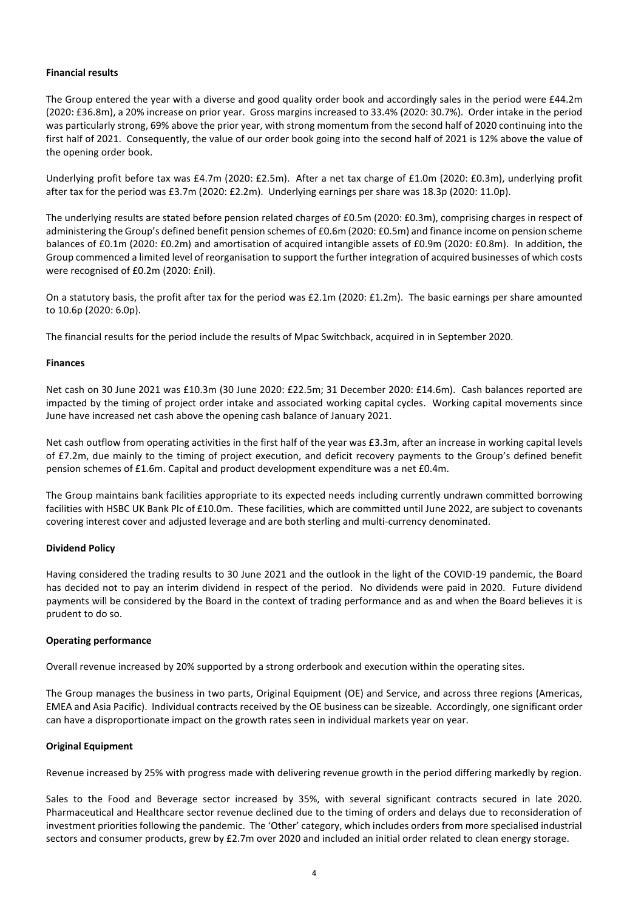# **Financial results**

The Group entered the year with a diverse and good quality order book and accordingly sales in the period were £44.2m (2020: £36.8m), a 20% increase on prior year. Gross margins increased to 33.4% (2020: 30.7%). Order intake in the period was particularly strong, 69% above the prior year, with strong momentum from the second half of 2020 continuing into the first half of 2021. Consequently, the value of our order book going into the second half of 2021 is 12% above the value of the opening order book.

Underlying profit before tax was £4.7m (2020: £2.5m). After a net tax charge of £1.0m (2020: £0.3m), underlying profit after tax for the period was £3.7m (2020: £2.2m). Underlying earnings per share was 18.3p (2020: 11.0p).

The underlying results are stated before pension related charges of £0.5m (2020: £0.3m), comprising charges in respect of administering the Group's defined benefit pension schemes of £0.6m (2020: £0.5m) and finance income on pension scheme balances of £0.1m (2020: £0.2m) and amortisation of acquired intangible assets of £0.9m (2020: £0.8m). In addition, the Group commenced a limited level of reorganisation to support the further integration of acquired businesses of which costs were recognised of £0.2m (2020: £nil).

On a statutory basis, the profit after tax for the period was £2.1m (2020: £1.2m). The basic earnings per share amounted to 10.6p (2020: 6.0p).

The financial results for the period include the results of Mpac Switchback, acquired in in September 2020.

#### **Finances**

Net cash on 30 June 2021 was £10.3m (30 June 2020: £22.5m; 31 December 2020: £14.6m). Cash balances reported are impacted by the timing of project order intake and associated working capital cycles. Working capital movements since June have increased net cash above the opening cash balance of January 2021.

Net cash outflow from operating activities in the first half of the year was £3.3m, after an increase in working capital levels of £7.2m, due mainly to the timing of project execution, and deficit recovery payments to the Group's defined benefit pension schemes of £1.6m. Capital and product development expenditure was a net £0.4m.

The Group maintains bank facilities appropriate to its expected needs including currently undrawn committed borrowing facilities with HSBC UK Bank Plc of £10.0m. These facilities, which are committed until June 2022, are subject to covenants covering interest cover and adjusted leverage and are both sterling and multi-currency denominated.

#### **Dividend Policy**

Having considered the trading results to 30 June 2021 and the outlook in the light of the COVID-19 pandemic, the Board has decided not to pay an interim dividend in respect of the period. No dividends were paid in 2020. Future dividend payments will be considered by the Board in the context of trading performance and as and when the Board believes it is prudent to do so.

# **Operating performance**

Overall revenue increased by 20% supported by a strong orderbook and execution within the operating sites.

The Group manages the business in two parts, Original Equipment (OE) and Service, and across three regions (Americas, EMEA and Asia Pacific). Individual contracts received by the OE business can be sizeable. Accordingly, one significant order can have a disproportionate impact on the growth rates seen in individual markets year on year.

# **Original Equipment**

Revenue increased by 25% with progress made with delivering revenue growth in the period differing markedly by region.

Sales to the Food and Beverage sector increased by 35%, with several significant contracts secured in late 2020. Pharmaceutical and Healthcare sector revenue declined due to the timing of orders and delays due to reconsideration of investment priorities following the pandemic. The 'Other' category, which includes orders from more specialised industrial sectors and consumer products, grew by £2.7m over 2020 and included an initial order related to clean energy storage.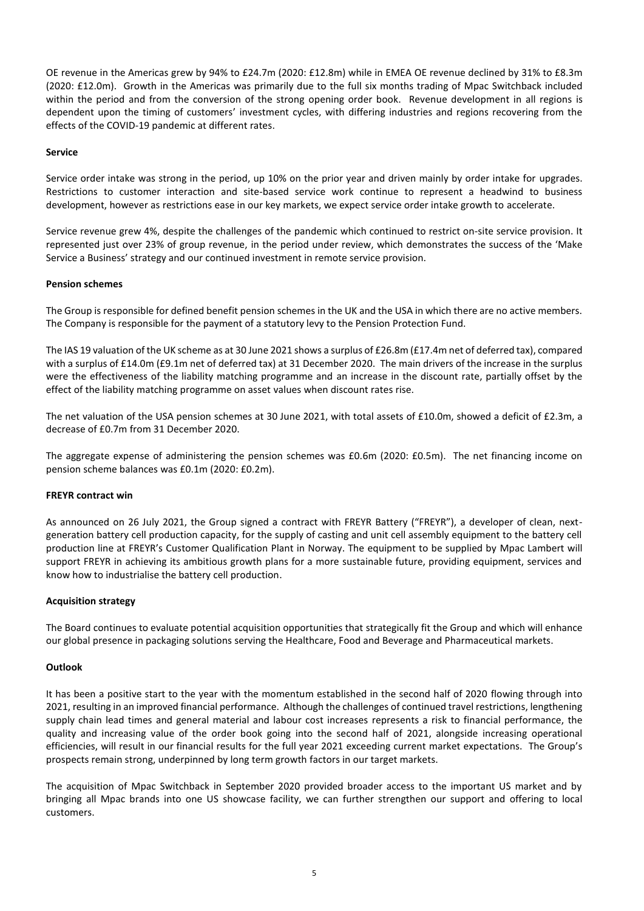OE revenue in the Americas grew by 94% to £24.7m (2020: £12.8m) while in EMEA OE revenue declined by 31% to £8.3m (2020: £12.0m). Growth in the Americas was primarily due to the full six months trading of Mpac Switchback included within the period and from the conversion of the strong opening order book. Revenue development in all regions is dependent upon the timing of customers' investment cycles, with differing industries and regions recovering from the effects of the COVID-19 pandemic at different rates.

### **Service**

Service order intake was strong in the period, up 10% on the prior year and driven mainly by order intake for upgrades. Restrictions to customer interaction and site-based service work continue to represent a headwind to business development, however as restrictions ease in our key markets, we expect service order intake growth to accelerate.

Service revenue grew 4%, despite the challenges of the pandemic which continued to restrict on-site service provision. It represented just over 23% of group revenue, in the period under review, which demonstrates the success of the 'Make Service a Business' strategy and our continued investment in remote service provision.

#### **Pension schemes**

The Group is responsible for defined benefit pension schemes in the UK and the USA in which there are no active members. The Company is responsible for the payment of a statutory levy to the Pension Protection Fund.

The IAS 19 valuation of the UK scheme as at 30 June 2021 shows a surplus of £26.8m (£17.4m net of deferred tax), compared with a surplus of £14.0m (£9.1m net of deferred tax) at 31 December 2020. The main drivers of the increase in the surplus were the effectiveness of the liability matching programme and an increase in the discount rate, partially offset by the effect of the liability matching programme on asset values when discount rates rise.

The net valuation of the USA pension schemes at 30 June 2021, with total assets of £10.0m, showed a deficit of £2.3m, a decrease of £0.7m from 31 December 2020.

The aggregate expense of administering the pension schemes was £0.6m (2020: £0.5m). The net financing income on pension scheme balances was £0.1m (2020: £0.2m).

#### **FREYR contract win**

As announced on 26 July 2021, the Group signed a contract with FREYR Battery ("FREYR"), a developer of clean, nextgeneration battery cell production capacity, for the supply of casting and unit cell assembly equipment to the battery cell production line at FREYR's Customer Qualification Plant in Norway. The equipment to be supplied by Mpac Lambert will support FREYR in achieving its ambitious growth plans for a more sustainable future, providing equipment, services and know how to industrialise the battery cell production.

#### **Acquisition strategy**

The Board continues to evaluate potential acquisition opportunities that strategically fit the Group and which will enhance our global presence in packaging solutions serving the Healthcare, Food and Beverage and Pharmaceutical markets.

#### **Outlook**

It has been a positive start to the year with the momentum established in the second half of 2020 flowing through into 2021, resulting in an improved financial performance. Although the challenges of continued travel restrictions, lengthening supply chain lead times and general material and labour cost increases represents a risk to financial performance, the quality and increasing value of the order book going into the second half of 2021, alongside increasing operational efficiencies, will result in our financial results for the full year 2021 exceeding current market expectations. The Group's prospects remain strong, underpinned by long term growth factors in our target markets.

The acquisition of Mpac Switchback in September 2020 provided broader access to the important US market and by bringing all Mpac brands into one US showcase facility, we can further strengthen our support and offering to local customers.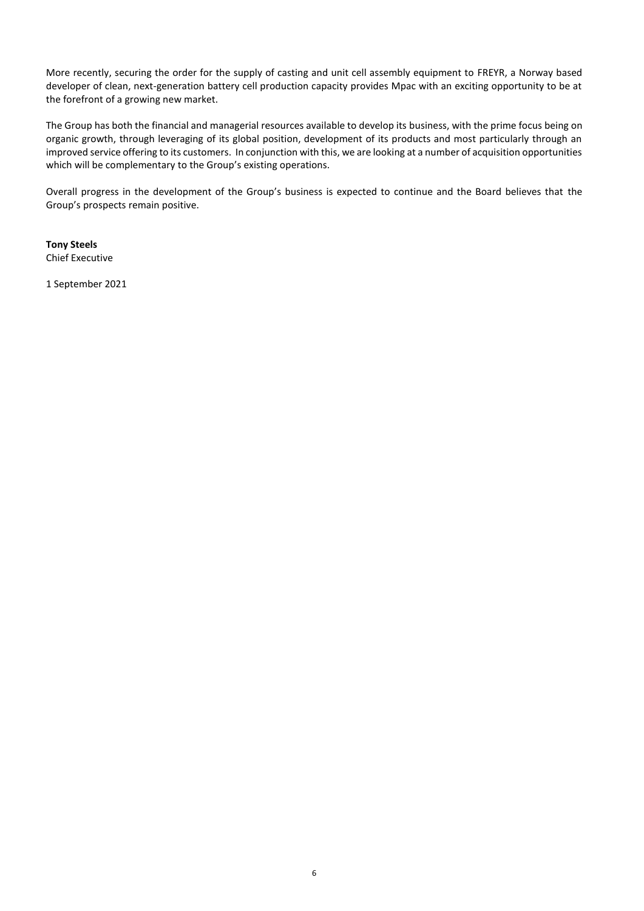More recently, securing the order for the supply of casting and unit cell assembly equipment to FREYR, a Norway based developer of clean, next-generation battery cell production capacity provides Mpac with an exciting opportunity to be at the forefront of a growing new market.

The Group has both the financial and managerial resources available to develop its business, with the prime focus being on organic growth, through leveraging of its global position, development of its products and most particularly through an improved service offering to its customers. In conjunction with this, we are looking at a number of acquisition opportunities which will be complementary to the Group's existing operations.

Overall progress in the development of the Group's business is expected to continue and the Board believes that the Group's prospects remain positive.

**Tony Steels** Chief Executive

1 September 2021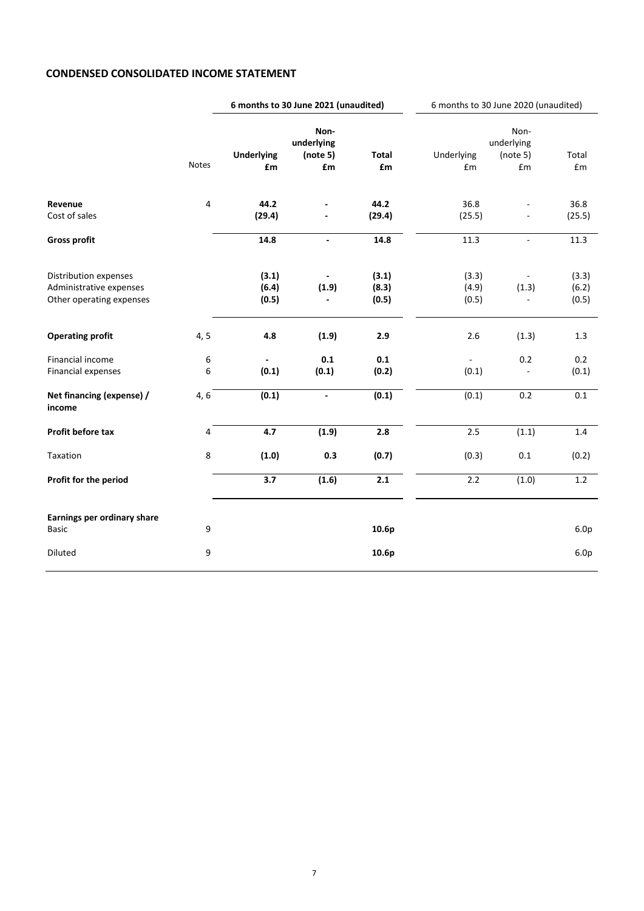# **CONDENSED CONSOLIDATED INCOME STATEMENT**

|                                      |              | 6 months to 30 June 2021 (unaudited) |                          | 6 months to 30 June 2020 (unaudited) |            |                          |                  |
|--------------------------------------|--------------|--------------------------------------|--------------------------|--------------------------------------|------------|--------------------------|------------------|
|                                      |              |                                      | Non-                     |                                      |            | Non-                     |                  |
|                                      |              |                                      | underlying               |                                      |            | underlying               |                  |
|                                      | <b>Notes</b> | <b>Underlying</b>                    | (note 5)<br>£m           | <b>Total</b><br>£m                   | Underlying | (note 5)<br>£m           | Total            |
|                                      |              | £m                                   |                          |                                      | £m         |                          | £m               |
| Revenue                              | 4            | 44.2                                 |                          | 44.2                                 | 36.8       |                          | 36.8             |
| Cost of sales                        |              | (29.4)                               |                          | (29.4)                               | (25.5)     |                          | (25.5)           |
| <b>Gross profit</b>                  |              | 14.8                                 | $\blacksquare$           | 14.8                                 | 11.3       | ä,                       | 11.3             |
| Distribution expenses                |              | (3.1)                                |                          | (3.1)                                | (3.3)      |                          | (3.3)            |
| Administrative expenses              |              | (6.4)                                | (1.9)                    | (8.3)                                | (4.9)      | (1.3)                    | (6.2)            |
| Other operating expenses             |              | (0.5)                                |                          | (0.5)                                | (0.5)      | $\overline{\phantom{a}}$ | (0.5)            |
| <b>Operating profit</b>              | 4, 5         | 4.8                                  | (1.9)                    | 2.9                                  | 2.6        | (1.3)                    | 1.3              |
| Financial income                     | 6            |                                      | 0.1                      | 0.1                                  |            | 0.2                      | 0.2              |
| Financial expenses                   | 6            | (0.1)                                | (0.1)                    | (0.2)                                | (0.1)      | ä,                       | (0.1)            |
| Net financing (expense) /<br>income  | 4, 6         | (0.1)                                | $\overline{\phantom{a}}$ | (0.1)                                | (0.1)      | 0.2                      | 0.1              |
| Profit before tax                    | 4            | 4.7                                  | (1.9)                    | 2.8                                  | 2.5        | (1.1)                    | $1.4\,$          |
| Taxation                             | 8            | (1.0)                                | 0.3                      | (0.7)                                | (0.3)      | 0.1                      | (0.2)            |
| Profit for the period                |              | 3.7                                  | (1.6)                    | 2.1                                  | 2.2        | (1.0)                    | 1.2              |
|                                      |              |                                      |                          |                                      |            |                          |                  |
| Earnings per ordinary share<br>Basic | 9            |                                      |                          | 10.6p                                |            |                          | 6.0 <sub>p</sub> |
|                                      |              |                                      |                          |                                      |            |                          |                  |
| Diluted                              | 9            |                                      |                          | 10.6p                                |            |                          | 6.0 <sub>p</sub> |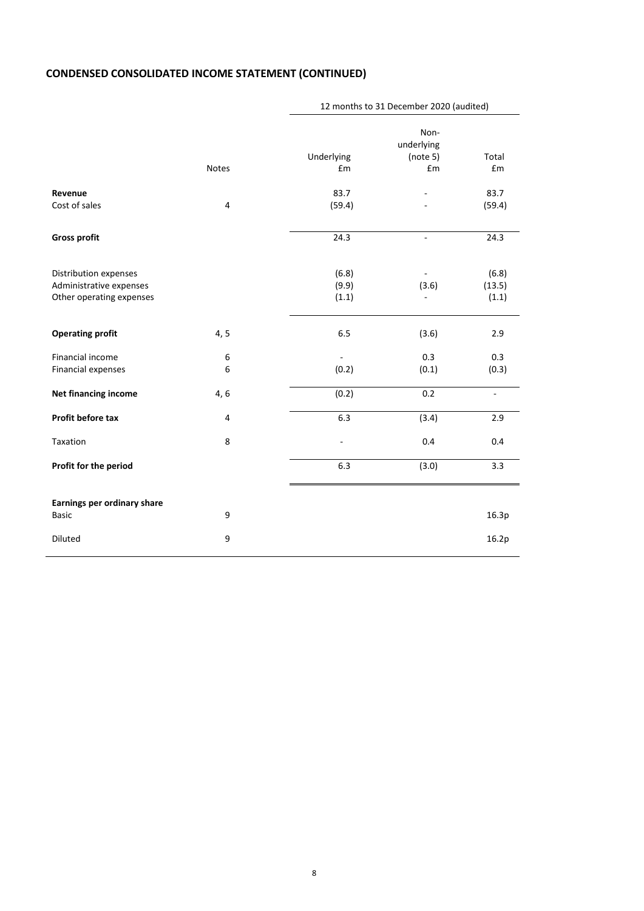# **CONDENSED CONSOLIDATED INCOME STATEMENT (CONTINUED)**

|                                             |                  |            | IZ MORTUS to 31 December 2020 (addited) |                    |
|---------------------------------------------|------------------|------------|-----------------------------------------|--------------------|
|                                             |                  |            | Non-                                    |                    |
|                                             |                  |            | underlying                              |                    |
|                                             |                  | Underlying | (note 5)                                | Total              |
|                                             | Notes            | £m         | £m                                      | $\pmb{\epsilon}$ m |
| Revenue                                     |                  | 83.7       |                                         | 83.7               |
| Cost of sales                               | $\overline{4}$   | (59.4)     |                                         | (59.4)             |
| <b>Gross profit</b>                         |                  | 24.3       | $\sim$                                  | 24.3               |
|                                             |                  |            |                                         |                    |
| Distribution expenses                       |                  | (6.8)      |                                         | (6.8)              |
| Administrative expenses                     |                  | (9.9)      | (3.6)                                   | (13.5)             |
| Other operating expenses                    |                  | (1.1)      |                                         | (1.1)              |
| <b>Operating profit</b>                     | 4, 5             | 6.5        | (3.6)                                   | 2.9                |
| Financial income                            | $\boldsymbol{6}$ |            | 0.3                                     | 0.3                |
| Financial expenses                          | 6                | (0.2)      | (0.1)                                   | (0.3)              |
| Net financing income                        | 4, 6             | (0.2)      | 0.2                                     | $\bar{a}$          |
| Profit before tax                           | 4                | 6.3        | (3.4)                                   | 2.9                |
| Taxation                                    | 8                | ÷,         | 0.4                                     | 0.4                |
| Profit for the period                       |                  | 6.3        | (3.0)                                   | 3.3                |
|                                             |                  |            |                                         |                    |
| Earnings per ordinary share<br><b>Basic</b> | 9                |            |                                         | 16.3p              |
| Diluted                                     | 9                |            |                                         | 16.2p              |
|                                             |                  |            |                                         |                    |

# 12 months to 31 December 2020 (audited)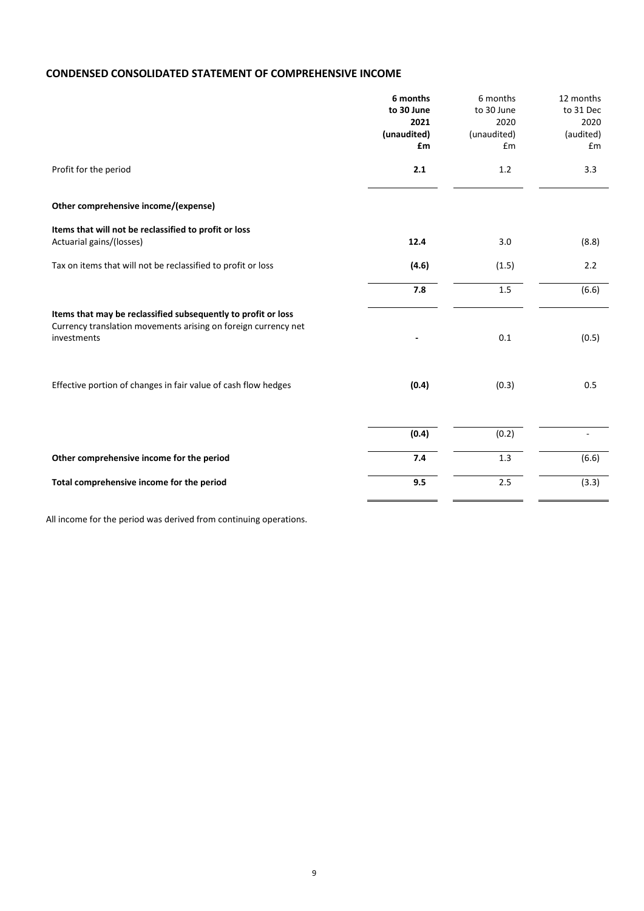# **CONDENSED CONSOLIDATED STATEMENT OF COMPREHENSIVE INCOME**

|                                                                                                                                                | 6 months    | 6 months    | 12 months |
|------------------------------------------------------------------------------------------------------------------------------------------------|-------------|-------------|-----------|
|                                                                                                                                                | to 30 June  | to 30 June  | to 31 Dec |
|                                                                                                                                                | 2021        | 2020        | 2020      |
|                                                                                                                                                | (unaudited) | (unaudited) | (audited) |
|                                                                                                                                                | £m          | £m          | Em        |
| Profit for the period                                                                                                                          | 2.1         | 1.2         | 3.3       |
| Other comprehensive income/(expense)                                                                                                           |             |             |           |
| Items that will not be reclassified to profit or loss                                                                                          |             |             |           |
| Actuarial gains/(losses)                                                                                                                       | 12.4        | 3.0         | (8.8)     |
| Tax on items that will not be reclassified to profit or loss                                                                                   | (4.6)       | (1.5)       | 2.2       |
|                                                                                                                                                | 7.8         | 1.5         | (6.6)     |
| Items that may be reclassified subsequently to profit or loss<br>Currency translation movements arising on foreign currency net<br>investments |             | 0.1         | (0.5)     |
|                                                                                                                                                |             |             |           |
| Effective portion of changes in fair value of cash flow hedges                                                                                 | (0.4)       | (0.3)       | 0.5       |
|                                                                                                                                                | (0.4)       | (0.2)       |           |
|                                                                                                                                                |             |             |           |
| Other comprehensive income for the period                                                                                                      | 7.4         | 1.3         | (6.6)     |
| Total comprehensive income for the period                                                                                                      | 9.5         | 2.5         | (3.3)     |

All income for the period was derived from continuing operations.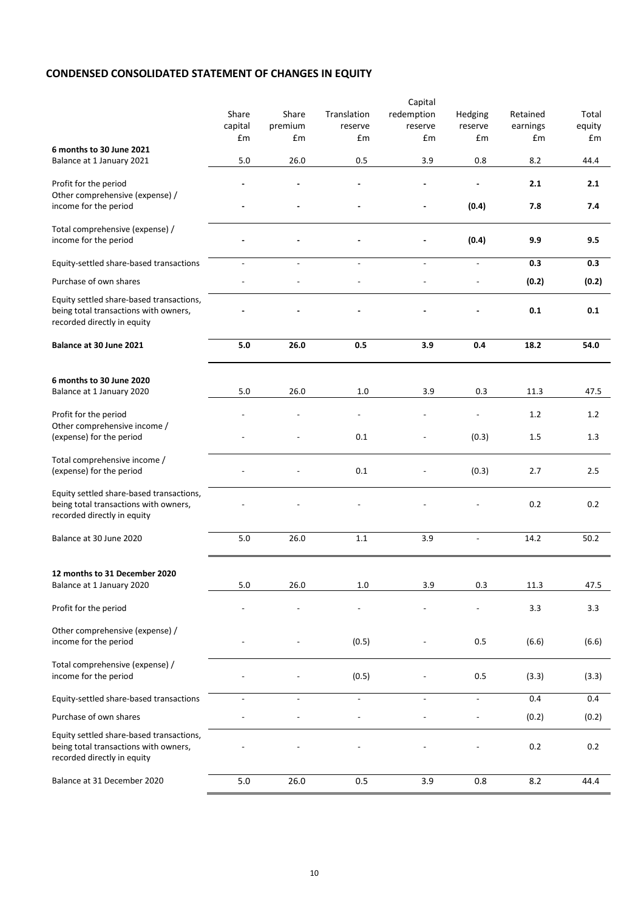# **CONDENSED CONSOLIDATED STATEMENT OF CHANGES IN EQUITY**

|                                                                                                                  |                          |                          |                          | Capital                  |                          |          |        |
|------------------------------------------------------------------------------------------------------------------|--------------------------|--------------------------|--------------------------|--------------------------|--------------------------|----------|--------|
|                                                                                                                  | Share                    | Share                    | Translation              | redemption               | Hedging                  | Retained | Total  |
|                                                                                                                  | capital                  | premium                  | reserve                  | reserve                  | reserve                  | earnings | equity |
|                                                                                                                  | £m                       | £m                       | £m                       | £m                       | £m                       | £m       | £m     |
| 6 months to 30 June 2021                                                                                         |                          |                          |                          |                          |                          |          |        |
| Balance at 1 January 2021                                                                                        | 5.0                      | 26.0                     | 0.5                      | 3.9                      | 0.8                      | 8.2      | 44.4   |
| Profit for the period<br>Other comprehensive (expense) /                                                         |                          |                          |                          |                          |                          | 2.1      | 2.1    |
| income for the period                                                                                            |                          |                          |                          |                          | (0.4)                    | 7.8      | 7.4    |
| Total comprehensive (expense) /<br>income for the period                                                         |                          |                          |                          |                          | (0.4)                    | 9.9      | 9.5    |
| Equity-settled share-based transactions                                                                          |                          | $\overline{\phantom{a}}$ | $\overline{\phantom{a}}$ | $\overline{a}$           | $\overline{\phantom{a}}$ | 0.3      | 0.3    |
| Purchase of own shares                                                                                           |                          |                          |                          |                          |                          | (0.2)    | (0.2)  |
| Equity settled share-based transactions,<br>being total transactions with owners,<br>recorded directly in equity |                          |                          |                          |                          |                          | 0.1      | 0.1    |
| Balance at 30 June 2021                                                                                          | 5.0                      | 26.0                     | 0.5                      | 3.9                      | 0.4                      | 18.2     | 54.0   |
|                                                                                                                  |                          |                          |                          |                          |                          |          |        |
| 6 months to 30 June 2020                                                                                         |                          |                          |                          |                          |                          |          |        |
| Balance at 1 January 2020                                                                                        | 5.0                      | 26.0                     | 1.0                      | 3.9                      | 0.3                      | 11.3     | 47.5   |
| Profit for the period<br>Other comprehensive income /                                                            |                          |                          | $\overline{\phantom{a}}$ |                          | $\overline{a}$           | 1.2      | 1.2    |
| (expense) for the period                                                                                         |                          |                          | 0.1                      |                          | (0.3)                    | 1.5      | 1.3    |
| Total comprehensive income /<br>(expense) for the period                                                         |                          |                          | 0.1                      |                          | (0.3)                    | 2.7      | 2.5    |
| Equity settled share-based transactions,<br>being total transactions with owners,<br>recorded directly in equity |                          |                          |                          |                          |                          | 0.2      | 0.2    |
| Balance at 30 June 2020                                                                                          | $5.0$                    | 26.0                     | 1.1                      | 3.9                      |                          | 14.2     | 50.2   |
|                                                                                                                  |                          |                          |                          |                          |                          |          |        |
| 12 months to 31 December 2020<br>Balance at 1 January 2020                                                       | $5.0$                    | 26.0                     | 1.0                      | 3.9                      | 0.3                      | 11.3     | 47.5   |
|                                                                                                                  |                          |                          |                          |                          |                          |          |        |
| Profit for the period                                                                                            |                          |                          |                          |                          |                          | 3.3      | 3.3    |
| Other comprehensive (expense) /<br>income for the period                                                         |                          |                          | (0.5)                    |                          | 0.5                      | (6.6)    | (6.6)  |
| Total comprehensive (expense) /<br>income for the period                                                         |                          |                          | (0.5)                    |                          | 0.5                      | (3.3)    | (3.3)  |
| Equity-settled share-based transactions                                                                          | $\overline{\phantom{a}}$ | $\overline{\phantom{a}}$ | $\overline{\phantom{a}}$ | $\overline{\phantom{a}}$ | $\overline{\phantom{a}}$ | 0.4      | 0.4    |
| Purchase of own shares                                                                                           |                          |                          |                          |                          | $\overline{a}$           | (0.2)    | (0.2)  |
| Equity settled share-based transactions,                                                                         |                          |                          |                          |                          |                          |          |        |
| being total transactions with owners,<br>recorded directly in equity                                             |                          |                          |                          |                          |                          | $0.2\,$  | 0.2    |
| Balance at 31 December 2020                                                                                      | 5.0                      | 26.0                     | 0.5                      | 3.9                      | 0.8                      | 8.2      | 44.4   |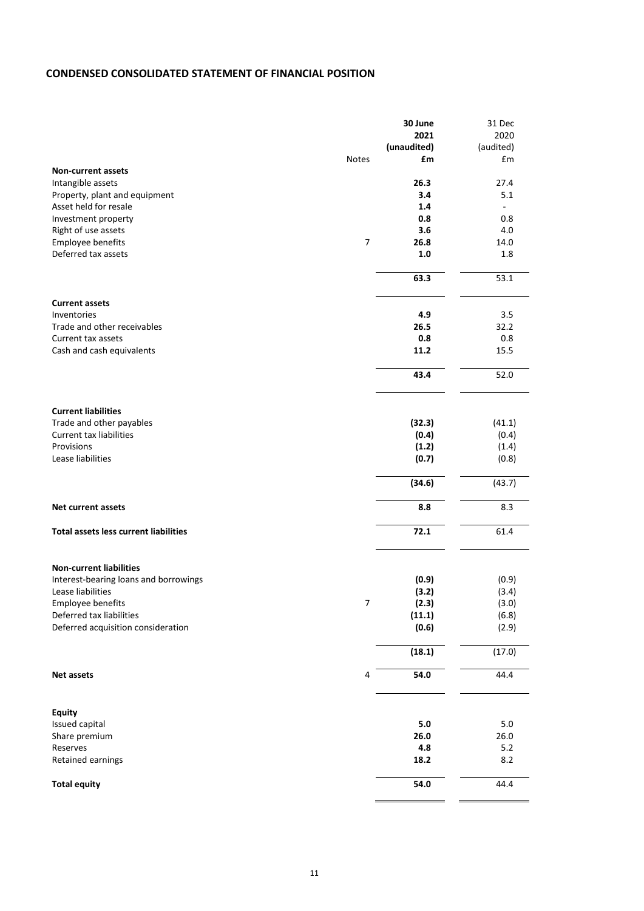# **CONDENSED CONSOLIDATED STATEMENT OF FINANCIAL POSITION**

|                                              |                | 30 June     | 31 Dec    |
|----------------------------------------------|----------------|-------------|-----------|
|                                              |                | 2021        | 2020      |
|                                              |                | (unaudited) | (audited) |
|                                              | <b>Notes</b>   | £m          | £m        |
| <b>Non-current assets</b>                    |                |             |           |
| Intangible assets                            |                | 26.3        | 27.4      |
| Property, plant and equipment                |                | 3.4         | 5.1       |
| Asset held for resale                        |                | 1.4         |           |
| Investment property                          |                | 0.8         | 0.8       |
|                                              |                |             |           |
| Right of use assets                          |                | 3.6         | 4.0       |
| Employee benefits                            | $\overline{7}$ | 26.8        | 14.0      |
| Deferred tax assets                          |                | 1.0         | 1.8       |
|                                              |                | 63.3        | 53.1      |
| <b>Current assets</b>                        |                |             |           |
| Inventories                                  |                | 4.9         | 3.5       |
| Trade and other receivables                  |                | 26.5        | 32.2      |
| Current tax assets                           |                | 0.8         | 0.8       |
| Cash and cash equivalents                    |                | 11.2        | 15.5      |
|                                              |                | 43.4        | 52.0      |
|                                              |                |             |           |
| <b>Current liabilities</b>                   |                |             |           |
| Trade and other payables                     |                | (32.3)      | (41.1)    |
| <b>Current tax liabilities</b>               |                | (0.4)       | (0.4)     |
| Provisions                                   |                | (1.2)       | (1.4)     |
| Lease liabilities                            |                | (0.7)       | (0.8)     |
|                                              |                | (34.6)      | (43.7)    |
| <b>Net current assets</b>                    |                | 8.8         | 8.3       |
| <b>Total assets less current liabilities</b> |                | 72.1        | 61.4      |
|                                              |                |             |           |
| <b>Non-current liabilities</b>               |                |             |           |
| Interest-bearing loans and borrowings        |                | (0.9)       | (0.9)     |
| Lease liabilities                            |                | (3.2)       | (3.4)     |
| Employee benefits                            | 7              | (2.3)       | (3.0)     |
| Deferred tax liabilities                     |                | (11.1)      | (6.8)     |
| Deferred acquisition consideration           |                | (0.6)       | (2.9)     |
|                                              |                | (18.1)      | (17.0)    |
| <b>Net assets</b>                            | 4              | 54.0        | 44.4      |
|                                              |                |             |           |
| <b>Equity</b>                                |                |             |           |
| Issued capital                               |                | $5.0\,$     | $5.0\,$   |
| Share premium                                |                | 26.0        | 26.0      |
| Reserves                                     |                | 4.8         | 5.2       |
| Retained earnings                            |                | 18.2        | 8.2       |
| <b>Total equity</b>                          |                | 54.0        | 44.4      |
|                                              |                |             |           |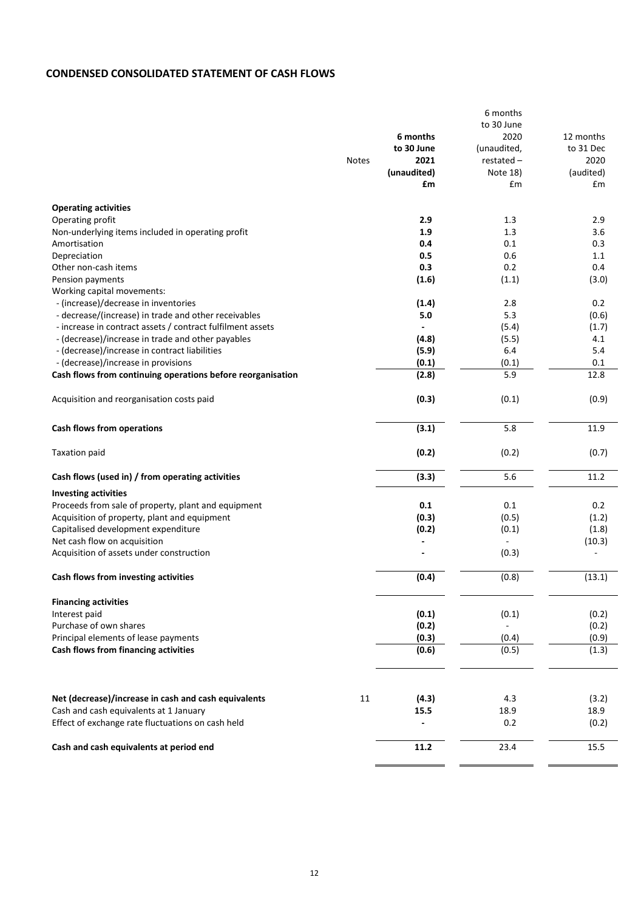# **CONDENSED CONSOLIDATED STATEMENT OF CASH FLOWS**

|                                                                                             |              |             | 6 months                 |               |
|---------------------------------------------------------------------------------------------|--------------|-------------|--------------------------|---------------|
|                                                                                             |              |             | to 30 June               |               |
|                                                                                             |              | 6 months    | 2020                     | 12 months     |
|                                                                                             |              | to 30 June  | (unaudited,              | to 31 Dec     |
|                                                                                             | <b>Notes</b> | 2021        | $restated -$             | 2020          |
|                                                                                             |              | (unaudited) | Note 18)                 | (audited)     |
|                                                                                             |              | £m          | £m                       | £m            |
| <b>Operating activities</b>                                                                 |              |             |                          |               |
| Operating profit                                                                            |              | 2.9         | 1.3                      | 2.9           |
| Non-underlying items included in operating profit                                           |              | 1.9         | 1.3                      | 3.6           |
| Amortisation                                                                                |              | 0.4         | 0.1                      | 0.3           |
| Depreciation                                                                                |              | 0.5         | 0.6                      | 1.1           |
| Other non-cash items                                                                        |              | 0.3         | 0.2                      | 0.4           |
|                                                                                             |              |             |                          |               |
| Pension payments                                                                            |              | (1.6)       | (1.1)                    | (3.0)         |
| Working capital movements:                                                                  |              |             |                          |               |
| - (increase)/decrease in inventories                                                        |              | (1.4)       | 2.8                      | 0.2           |
| - decrease/(increase) in trade and other receivables                                        |              | 5.0         | 5.3                      | (0.6)         |
| - increase in contract assets / contract fulfilment assets                                  |              |             | (5.4)                    | (1.7)         |
| - (decrease)/increase in trade and other payables                                           |              | (4.8)       | (5.5)                    | 4.1           |
| - (decrease)/increase in contract liabilities                                               |              | (5.9)       | 6.4                      | 5.4           |
| - (decrease)/increase in provisions                                                         |              | (0.1)       | (0.1)                    | 0.1           |
| Cash flows from continuing operations before reorganisation                                 |              | (2.8)       | 5.9                      | 12.8          |
| Acquisition and reorganisation costs paid                                                   |              | (0.3)       | (0.1)                    | (0.9)         |
| Cash flows from operations                                                                  |              | (3.1)       | 5.8                      | 11.9          |
| <b>Taxation paid</b>                                                                        |              | (0.2)       | (0.2)                    | (0.7)         |
| Cash flows (used in) / from operating activities                                            |              | (3.3)       | 5.6                      | 11.2          |
| <b>Investing activities</b>                                                                 |              |             |                          |               |
| Proceeds from sale of property, plant and equipment                                         |              | 0.1         | 0.1                      | 0.2           |
| Acquisition of property, plant and equipment                                                |              | (0.3)       | (0.5)                    | (1.2)         |
| Capitalised development expenditure                                                         |              | (0.2)       | (0.1)                    | (1.8)         |
| Net cash flow on acquisition                                                                |              |             | $\blacksquare$           | (10.3)        |
| Acquisition of assets under construction                                                    |              |             | (0.3)                    |               |
|                                                                                             |              |             |                          |               |
| Cash flows from investing activities                                                        |              | (0.4)       | (0.8)                    | (13.1)        |
| <b>Financing activities</b>                                                                 |              |             |                          |               |
| Interest paid                                                                               |              | (0.1)       | (0.1)                    | (0.2)         |
| Purchase of own shares                                                                      |              | (0.2)       | $\overline{\phantom{a}}$ | (0.2)         |
| Principal elements of lease payments                                                        |              | (0.3)       | (0.4)                    | (0.9)         |
| Cash flows from financing activities                                                        |              | (0.6)       | (0.5)                    | (1.3)         |
|                                                                                             |              |             |                          |               |
|                                                                                             |              |             |                          |               |
| Net (decrease)/increase in cash and cash equivalents                                        | 11           | (4.3)       | 4.3                      | (3.2)         |
| Cash and cash equivalents at 1 January<br>Effect of exchange rate fluctuations on cash held |              | 15.5        | 18.9<br>0.2              | 18.9<br>(0.2) |
|                                                                                             |              |             |                          |               |
| Cash and cash equivalents at period end                                                     |              | 11.2        | 23.4                     | 15.5          |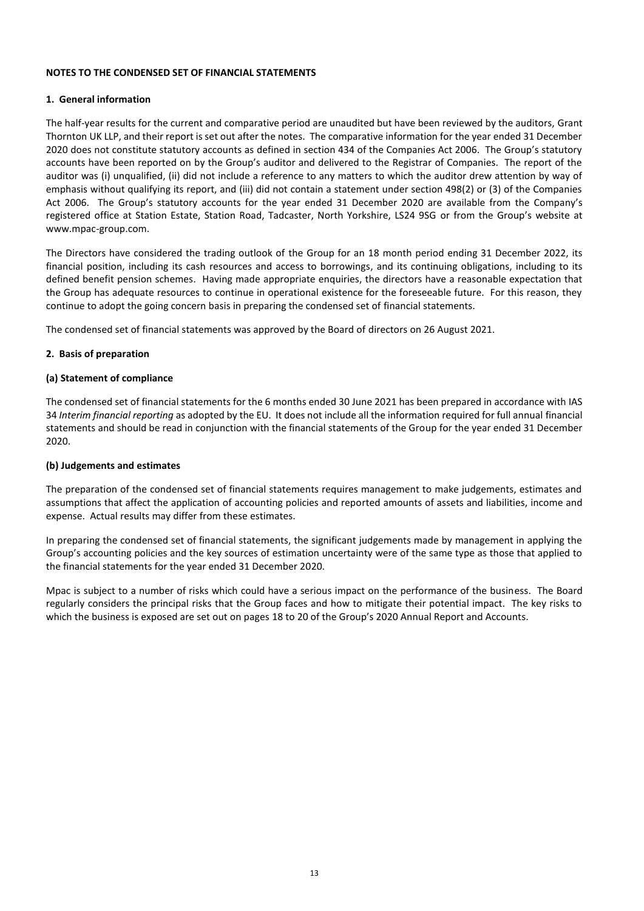### **NOTES TO THE CONDENSED SET OF FINANCIAL STATEMENTS**

### **1. General information**

The half-year results for the current and comparative period are unaudited but have been reviewed by the auditors, Grant Thornton UK LLP, and their report is set out after the notes. The comparative information for the year ended 31 December 2020 does not constitute statutory accounts as defined in section 434 of the Companies Act 2006. The Group's statutory accounts have been reported on by the Group's auditor and delivered to the Registrar of Companies. The report of the auditor was (i) unqualified, (ii) did not include a reference to any matters to which the auditor drew attention by way of emphasis without qualifying its report, and (iii) did not contain a statement under section 498(2) or (3) of the Companies Act 2006. The Group's statutory accounts for the year ended 31 December 2020 are available from the Company's registered office at Station Estate, Station Road, Tadcaster, North Yorkshire, LS24 9SG or from the Group's website at www.mpac-group.com.

The Directors have considered the trading outlook of the Group for an 18 month period ending 31 December 2022, its financial position, including its cash resources and access to borrowings, and its continuing obligations, including to its defined benefit pension schemes. Having made appropriate enquiries, the directors have a reasonable expectation that the Group has adequate resources to continue in operational existence for the foreseeable future. For this reason, they continue to adopt the going concern basis in preparing the condensed set of financial statements.

The condensed set of financial statements was approved by the Board of directors on 26 August 2021.

#### **2. Basis of preparation**

#### **(a) Statement of compliance**

The condensed set of financial statements for the 6 months ended 30 June 2021 has been prepared in accordance with IAS 34 *Interim financial reporting* as adopted by the EU. It does not include all the information required for full annual financial statements and should be read in conjunction with the financial statements of the Group for the year ended 31 December 2020.

# **(b) Judgements and estimates**

The preparation of the condensed set of financial statements requires management to make judgements, estimates and assumptions that affect the application of accounting policies and reported amounts of assets and liabilities, income and expense. Actual results may differ from these estimates.

In preparing the condensed set of financial statements, the significant judgements made by management in applying the Group's accounting policies and the key sources of estimation uncertainty were of the same type as those that applied to the financial statements for the year ended 31 December 2020.

Mpac is subject to a number of risks which could have a serious impact on the performance of the business. The Board regularly considers the principal risks that the Group faces and how to mitigate their potential impact. The key risks to which the business is exposed are set out on pages 18 to 20 of the Group's 2020 Annual Report and Accounts.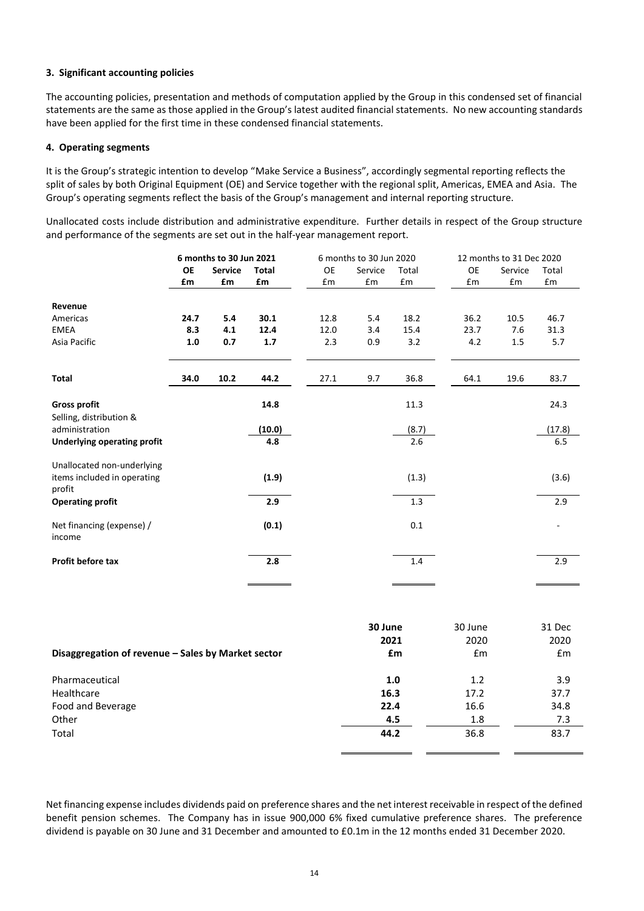# **3. Significant accounting policies**

The accounting policies, presentation and methods of computation applied by the Group in this condensed set of financial statements are the same as those applied in the Group's latest audited financial statements. No new accounting standards have been applied for the first time in these condensed financial statements.

# **4. Operating segments**

It is the Group's strategic intention to develop "Make Service a Business", accordingly segmental reporting reflects the split of sales by both Original Equipment (OE) and Service together with the regional split, Americas, EMEA and Asia. The Group's operating segments reflect the basis of the Group's management and internal reporting structure.

Unallocated costs include distribution and administrative expenditure. Further details in respect of the Group structure and performance of the segments are set out in the half-year management report.

|                                                    | 6 months to 30 Jun 2021 |                |               | 6 months to 30 Jun 2020 |         |              | 12 months to 31 Dec 2020 |         |               |
|----------------------------------------------------|-------------------------|----------------|---------------|-------------------------|---------|--------------|--------------------------|---------|---------------|
|                                                    | <b>OE</b>               | <b>Service</b> | <b>Total</b>  | <b>OE</b>               | Service | Total        | <b>OE</b>                | Service | Total         |
|                                                    | £m                      | £m             | £m            | £m                      | £m      | £m           | £m                       | £m      | £m            |
| Revenue                                            |                         |                |               |                         |         |              |                          |         |               |
| Americas                                           | 24.7                    | 5.4            | 30.1          | 12.8                    | 5.4     | 18.2         | 36.2                     | 10.5    | 46.7          |
| <b>EMEA</b>                                        | 8.3                     | 4.1            | 12.4          | 12.0                    | 3.4     | 15.4         | 23.7                     | 7.6     | 31.3          |
| Asia Pacific                                       | 1.0                     | 0.7            | $1.7\,$       | 2.3                     | 0.9     | 3.2          | 4.2                      | 1.5     | 5.7           |
| <b>Total</b>                                       | 34.0                    | 10.2           | 44.2          | 27.1                    | 9.7     | 36.8         | 64.1                     | 19.6    | 83.7          |
| <b>Gross profit</b>                                |                         |                | 14.8          |                         |         | 11.3         |                          |         | 24.3          |
| Selling, distribution &<br>administration          |                         |                |               |                         |         |              |                          |         |               |
| <b>Underlying operating profit</b>                 |                         |                | (10.0)<br>4.8 |                         |         | (8.7)<br>2.6 |                          |         | (17.8)<br>6.5 |
|                                                    |                         |                |               |                         |         |              |                          |         |               |
| Unallocated non-underlying                         |                         |                |               |                         |         |              |                          |         |               |
| items included in operating<br>profit              |                         |                | (1.9)         |                         |         | (1.3)        |                          |         | (3.6)         |
| <b>Operating profit</b>                            |                         |                | 2.9           |                         |         | 1.3          |                          |         | 2.9           |
| Net financing (expense) /<br>income                |                         |                | (0.1)         |                         |         | 0.1          |                          |         |               |
| Profit before tax                                  |                         |                | 2.8           |                         |         | 1.4          |                          |         | 2.9           |
|                                                    |                         |                |               |                         |         |              |                          |         |               |
|                                                    |                         |                |               |                         |         |              |                          |         |               |
|                                                    |                         |                |               |                         | 30 June |              | 30 June                  |         | 31 Dec        |
|                                                    |                         |                |               |                         |         | 2021         | 2020                     |         | 2020          |
| Disaggregation of revenue - Sales by Market sector |                         |                |               |                         |         | £m           | £m                       |         | £m            |

| Pharmaceutical    | 1.0  | 1.2  | 3.9  |
|-------------------|------|------|------|
| Healthcare        | 16.3 | 17.2 | 37.7 |
| Food and Beverage | 22.4 | 16.6 | 34.8 |
| Other             | 4.5  | 1.8  | 7.3  |
| Total             | 44.2 | 36.8 | 83.7 |

Net financing expense includes dividends paid on preference shares and the net interest receivable in respect of the defined benefit pension schemes. The Company has in issue 900,000 6% fixed cumulative preference shares. The preference dividend is payable on 30 June and 31 December and amounted to £0.1m in the 12 months ended 31 December 2020.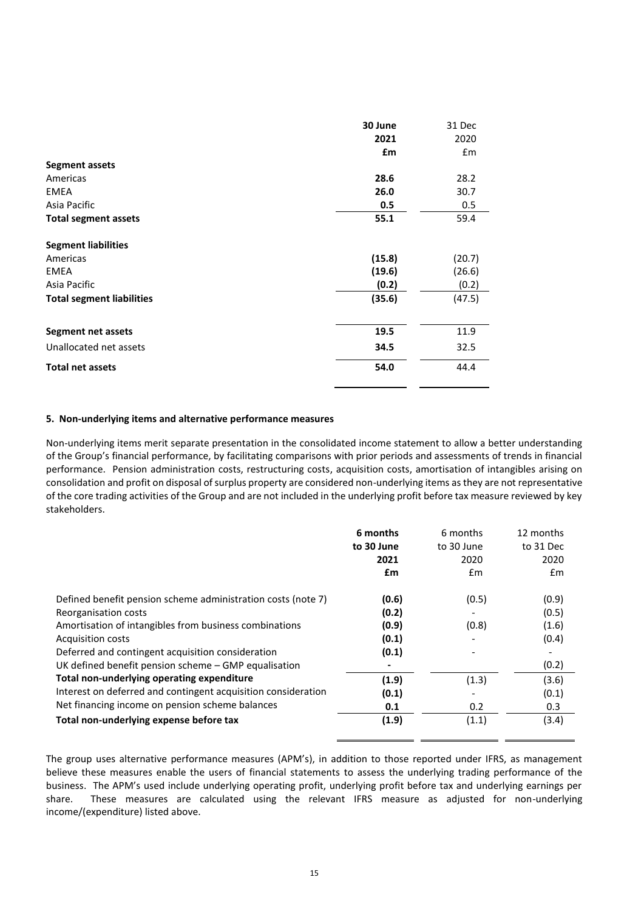|                                  | 30 June | 31 Dec |
|----------------------------------|---------|--------|
|                                  | 2021    | 2020   |
|                                  | £m      | £m     |
| Segment assets                   |         |        |
| Americas                         | 28.6    | 28.2   |
| <b>EMEA</b>                      | 26.0    | 30.7   |
| Asia Pacific                     | 0.5     | 0.5    |
| <b>Total segment assets</b>      | 55.1    | 59.4   |
| <b>Segment liabilities</b>       |         |        |
| Americas                         | (15.8)  | (20.7) |
| <b>EMEA</b>                      | (19.6)  | (26.6) |
| Asia Pacific                     | (0.2)   | (0.2)  |
| <b>Total segment liabilities</b> | (35.6)  | (47.5) |
| <b>Segment net assets</b>        | 19.5    | 11.9   |
| Unallocated net assets           | 34.5    | 32.5   |
| <b>Total net assets</b>          | 54.0    | 44.4   |
|                                  |         |        |

### **5. Non-underlying items and alternative performance measures**

Non-underlying items merit separate presentation in the consolidated income statement to allow a better understanding of the Group's financial performance, by facilitating comparisons with prior periods and assessments of trends in financial performance. Pension administration costs, restructuring costs, acquisition costs, amortisation of intangibles arising on consolidation and profit on disposal of surplus property are considered non-underlying items as they are not representative of the core trading activities of the Group and are not included in the underlying profit before tax measure reviewed by key stakeholders.

|                                                               | 6 months<br>to 30 June<br>2021<br>£m | 6 months<br>to 30 June<br>2020<br>£m | 12 months<br>to 31 Dec<br>2020<br>$\mathsf{fm}$ |
|---------------------------------------------------------------|--------------------------------------|--------------------------------------|-------------------------------------------------|
| Defined benefit pension scheme administration costs (note 7)  | (0.6)                                | (0.5)                                | (0.9)                                           |
| Reorganisation costs                                          | (0.2)                                |                                      | (0.5)                                           |
| Amortisation of intangibles from business combinations        | (0.9)                                | (0.8)                                | (1.6)                                           |
| <b>Acquisition costs</b>                                      | (0.1)                                |                                      | (0.4)                                           |
| Deferred and contingent acquisition consideration             | (0.1)                                |                                      |                                                 |
| UK defined benefit pension scheme – GMP equalisation          |                                      |                                      | (0.2)                                           |
| Total non-underlying operating expenditure                    | (1.9)                                | (1.3)                                | (3.6)                                           |
| Interest on deferred and contingent acquisition consideration | (0.1)                                |                                      | (0.1)                                           |
| Net financing income on pension scheme balances               | 0.1                                  | 0.2                                  | 0.3                                             |
| Total non-underlying expense before tax                       | (1.9)                                | (1.1)                                | (3.4)                                           |

The group uses alternative performance measures (APM's), in addition to those reported under IFRS, as management believe these measures enable the users of financial statements to assess the underlying trading performance of the business. The APM's used include underlying operating profit, underlying profit before tax and underlying earnings per share. These measures are calculated using the relevant IFRS measure as adjusted for non-underlying income/(expenditure) listed above.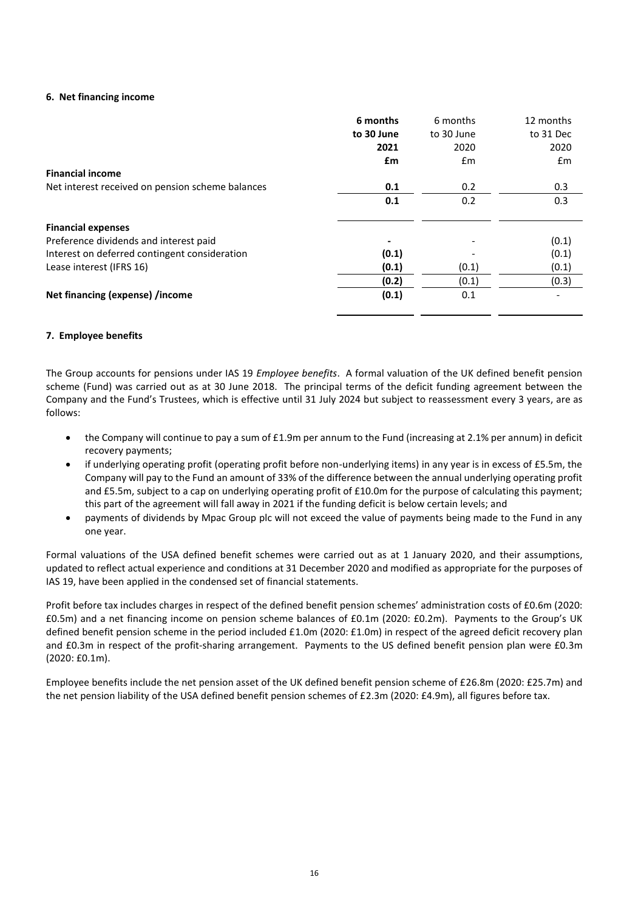### **6. Net financing income**

|                                                  | 6 months<br>to 30 June<br>2021<br>£m | 6 months<br>to 30 June<br>2020<br>£m | 12 months<br>to 31 Dec<br>2020<br>£m |
|--------------------------------------------------|--------------------------------------|--------------------------------------|--------------------------------------|
| <b>Financial income</b>                          |                                      |                                      |                                      |
| Net interest received on pension scheme balances | 0.1                                  | 0.2                                  | 0.3                                  |
|                                                  | 0.1                                  | 0.2                                  | 0.3                                  |
| <b>Financial expenses</b>                        |                                      |                                      |                                      |
| Preference dividends and interest paid           |                                      |                                      | (0.1)                                |
| Interest on deferred contingent consideration    | (0.1)                                |                                      | (0.1)                                |
| Lease interest (IFRS 16)                         | (0.1)                                | (0.1)                                | (0.1)                                |
|                                                  | (0.2)                                | (0.1)                                | (0.3)                                |
| Net financing (expense) /income                  | (0.1)                                | 0.1                                  |                                      |
|                                                  |                                      |                                      |                                      |

#### **7. Employee benefits**

The Group accounts for pensions under IAS 19 *Employee benefits*. A formal valuation of the UK defined benefit pension scheme (Fund) was carried out as at 30 June 2018. The principal terms of the deficit funding agreement between the Company and the Fund's Trustees, which is effective until 31 July 2024 but subject to reassessment every 3 years, are as follows:

- the Company will continue to pay a sum of £1.9m per annum to the Fund (increasing at 2.1% per annum) in deficit recovery payments;
- if underlying operating profit (operating profit before non-underlying items) in any year is in excess of £5.5m, the Company will pay to the Fund an amount of 33% of the difference between the annual underlying operating profit and £5.5m, subject to a cap on underlying operating profit of £10.0m for the purpose of calculating this payment; this part of the agreement will fall away in 2021 if the funding deficit is below certain levels; and
- payments of dividends by Mpac Group plc will not exceed the value of payments being made to the Fund in any one year.

Formal valuations of the USA defined benefit schemes were carried out as at 1 January 2020, and their assumptions, updated to reflect actual experience and conditions at 31 December 2020 and modified as appropriate for the purposes of IAS 19, have been applied in the condensed set of financial statements.

Profit before tax includes charges in respect of the defined benefit pension schemes' administration costs of £0.6m (2020: £0.5m) and a net financing income on pension scheme balances of £0.1m (2020: £0.2m). Payments to the Group's UK defined benefit pension scheme in the period included £1.0m (2020: £1.0m) in respect of the agreed deficit recovery plan and £0.3m in respect of the profit-sharing arrangement. Payments to the US defined benefit pension plan were £0.3m (2020: £0.1m).

Employee benefits include the net pension asset of the UK defined benefit pension scheme of £26.8m (2020: £25.7m) and the net pension liability of the USA defined benefit pension schemes of £2.3m (2020: £4.9m), all figures before tax.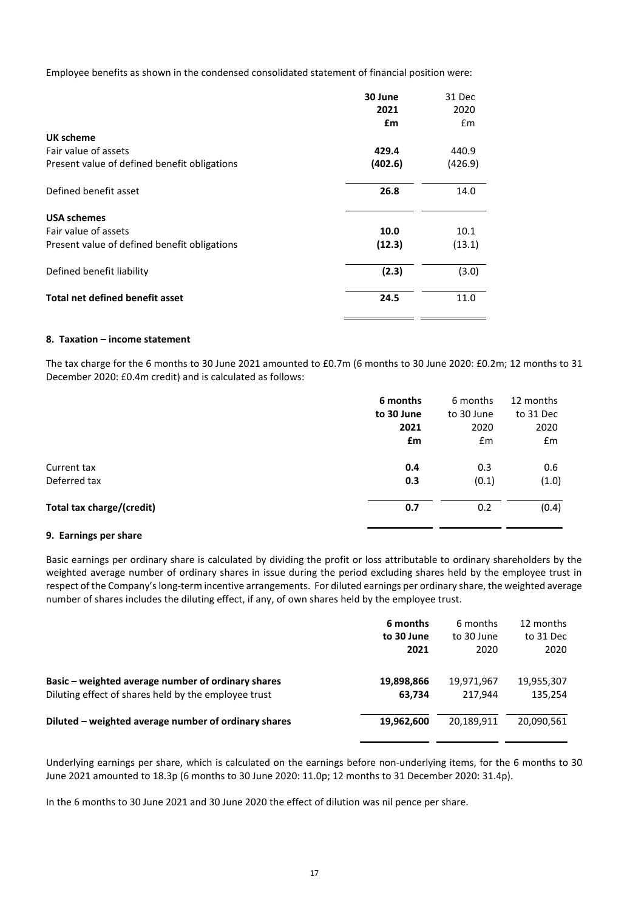Employee benefits as shown in the condensed consolidated statement of financial position were:

|                                              | 30 June | 31 Dec        |
|----------------------------------------------|---------|---------------|
|                                              | 2021    | 2020          |
|                                              | £m      | $\mathsf{fm}$ |
| UK scheme                                    |         |               |
| Fair value of assets                         | 429.4   | 440.9         |
| Present value of defined benefit obligations | (402.6) | (426.9)       |
| Defined benefit asset                        | 26.8    | 14.0          |
| <b>USA schemes</b>                           |         |               |
| Fair value of assets                         | 10.0    | 10.1          |
| Present value of defined benefit obligations | (12.3)  | (13.1)        |
| Defined benefit liability                    | (2.3)   | (3.0)         |
| Total net defined benefit asset              | 24.5    | 11.0          |

# **8. Taxation – income statement**

The tax charge for the 6 months to 30 June 2021 amounted to £0.7m (6 months to 30 June 2020: £0.2m; 12 months to 31 December 2020: £0.4m credit) and is calculated as follows:

|                           | 6 months   | 6 months   | 12 months |
|---------------------------|------------|------------|-----------|
|                           | to 30 June | to 30 June | to 31 Dec |
|                           | 2021       | 2020       | 2020      |
|                           | £m         | £m         | £m        |
| Current tax               | 0.4        | 0.3        | 0.6       |
| Deferred tax              | 0.3        | (0.1)      | (1.0)     |
| Total tax charge/(credit) | 0.7        | 0.2        | (0.4)     |
|                           |            |            |           |

# **9. Earnings per share**

Basic earnings per ordinary share is calculated by dividing the profit or loss attributable to ordinary shareholders by the weighted average number of ordinary shares in issue during the period excluding shares held by the employee trust in respect of the Company's long-term incentive arrangements. For diluted earnings per ordinary share, the weighted average number of shares includes the diluting effect, if any, of own shares held by the employee trust.

|                                                      | 6 months   | 6 months   | 12 months  |
|------------------------------------------------------|------------|------------|------------|
|                                                      | to 30 June | to 30 June | to 31 Dec  |
|                                                      | 2021       | 2020       | 2020       |
| Basic - weighted average number of ordinary shares   | 19,898,866 | 19,971,967 | 19,955,307 |
| Diluting effect of shares held by the employee trust | 63,734     | 217.944    | 135,254    |
| Diluted - weighted average number of ordinary shares | 19,962,600 | 20,189,911 | 20,090,561 |

Underlying earnings per share, which is calculated on the earnings before non-underlying items, for the 6 months to 30 June 2021 amounted to 18.3p (6 months to 30 June 2020: 11.0p; 12 months to 31 December 2020: 31.4p).

In the 6 months to 30 June 2021 and 30 June 2020 the effect of dilution was nil pence per share.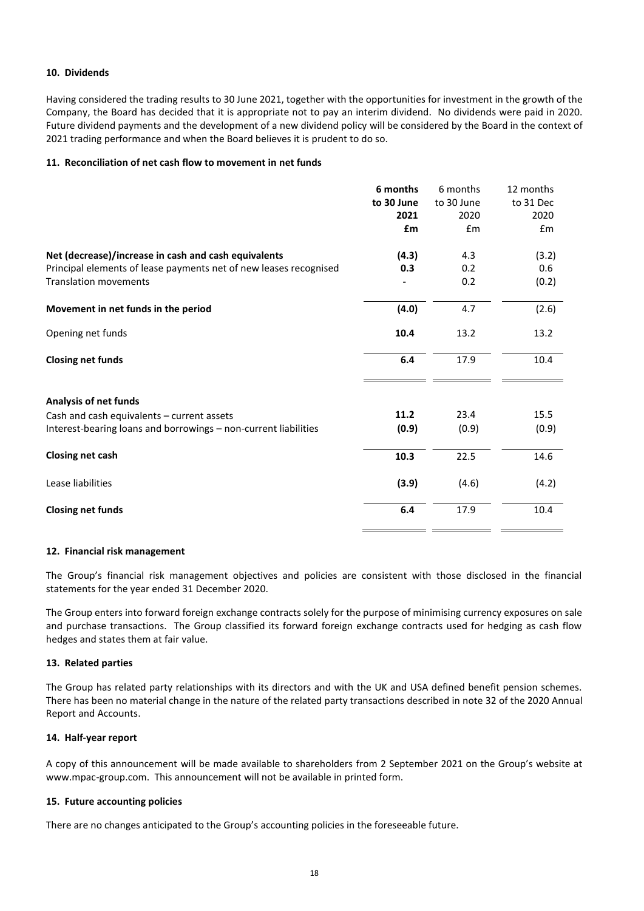# **10. Dividends**

Having considered the trading results to 30 June 2021, together with the opportunities for investment in the growth of the Company, the Board has decided that it is appropriate not to pay an interim dividend. No dividends were paid in 2020. Future dividend payments and the development of a new dividend policy will be considered by the Board in the context of 2021 trading performance and when the Board believes it is prudent to do so.

#### **11. Reconciliation of net cash flow to movement in net funds**

|                                                                   | 6 months   | 6 months   | 12 months |
|-------------------------------------------------------------------|------------|------------|-----------|
|                                                                   | to 30 June | to 30 June | to 31 Dec |
|                                                                   | 2021       | 2020       | 2020      |
|                                                                   | £m         | Em         | Em        |
| Net (decrease)/increase in cash and cash equivalents              | (4.3)      | 4.3        | (3.2)     |
| Principal elements of lease payments net of new leases recognised | 0.3        | 0.2        | 0.6       |
| <b>Translation movements</b>                                      |            | 0.2        | (0.2)     |
| Movement in net funds in the period                               | (4.0)      | 4.7        | (2.6)     |
| Opening net funds                                                 | 10.4       | 13.2       | 13.2      |
| <b>Closing net funds</b>                                          | 6.4        | 17.9       | 10.4      |
| Analysis of net funds                                             |            |            |           |
| Cash and cash equivalents - current assets                        | 11.2       | 23.4       | 15.5      |
| Interest-bearing loans and borrowings - non-current liabilities   | (0.9)      | (0.9)      | (0.9)     |
| Closing net cash                                                  | 10.3       | 22.5       | 14.6      |
| Lease liabilities                                                 | (3.9)      | (4.6)      | (4.2)     |
| <b>Closing net funds</b>                                          | 6.4        | 17.9       | 10.4      |

#### **12. Financial risk management**

The Group's financial risk management objectives and policies are consistent with those disclosed in the financial statements for the year ended 31 December 2020.

The Group enters into forward foreign exchange contracts solely for the purpose of minimising currency exposures on sale and purchase transactions. The Group classified its forward foreign exchange contracts used for hedging as cash flow hedges and states them at fair value.

# **13. Related parties**

The Group has related party relationships with its directors and with the UK and USA defined benefit pension schemes. There has been no material change in the nature of the related party transactions described in note 32 of the 2020 Annual Report and Accounts.

#### **14. Half-year report**

A copy of this announcement will be made available to shareholders from 2 September 2021 on the Group's website at www.mpac-group.com. This announcement will not be available in printed form.

#### **15. Future accounting policies**

There are no changes anticipated to the Group's accounting policies in the foreseeable future.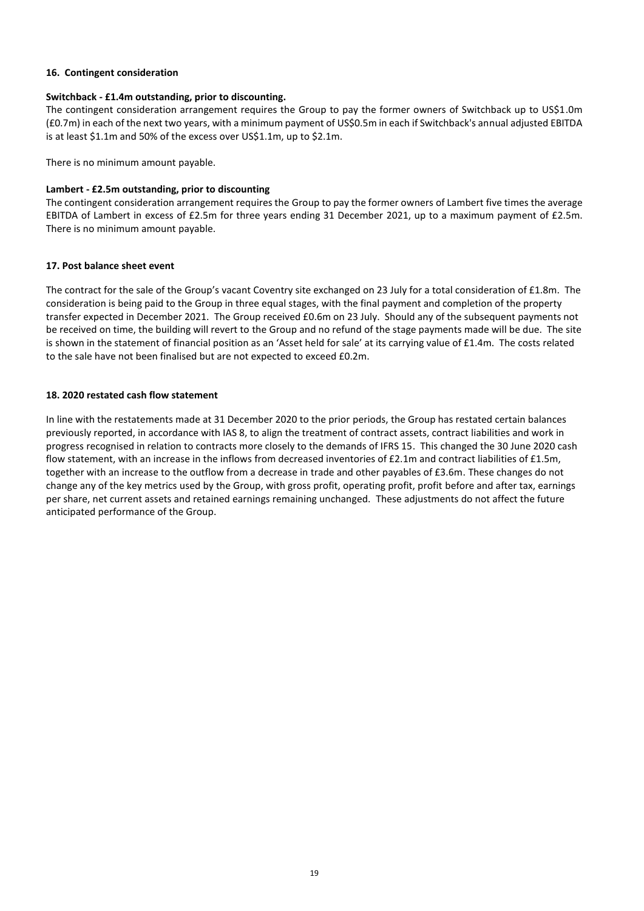# **16. Contingent consideration**

# **Switchback - £1.4m outstanding, prior to discounting.**

The contingent consideration arrangement requires the Group to pay the former owners of Switchback up to US\$1.0m (£0.7m) in each of the next two years, with a minimum payment of US\$0.5m in each if Switchback's annual adjusted EBITDA is at least \$1.1m and 50% of the excess over US\$1.1m, up to \$2.1m.

There is no minimum amount payable.

# **Lambert - £2.5m outstanding, prior to discounting**

The contingent consideration arrangement requires the Group to pay the former owners of Lambert five times the average EBITDA of Lambert in excess of £2.5m for three years ending 31 December 2021, up to a maximum payment of £2.5m. There is no minimum amount payable.

# **17. Post balance sheet event**

The contract for the sale of the Group's vacant Coventry site exchanged on 23 July for a total consideration of £1.8m. The consideration is being paid to the Group in three equal stages, with the final payment and completion of the property transfer expected in December 2021. The Group received £0.6m on 23 July. Should any of the subsequent payments not be received on time, the building will revert to the Group and no refund of the stage payments made will be due. The site is shown in the statement of financial position as an 'Asset held for sale' at its carrying value of £1.4m. The costs related to the sale have not been finalised but are not expected to exceed £0.2m.

# **18. 2020 restated cash flow statement**

In line with the restatements made at 31 December 2020 to the prior periods, the Group has restated certain balances previously reported, in accordance with IAS 8, to align the treatment of contract assets, contract liabilities and work in progress recognised in relation to contracts more closely to the demands of IFRS 15. This changed the 30 June 2020 cash flow statement, with an increase in the inflows from decreased inventories of £2.1m and contract liabilities of £1.5m, together with an increase to the outflow from a decrease in trade and other payables of £3.6m. These changes do not change any of the key metrics used by the Group, with gross profit, operating profit, profit before and after tax, earnings per share, net current assets and retained earnings remaining unchanged. These adjustments do not affect the future anticipated performance of the Group.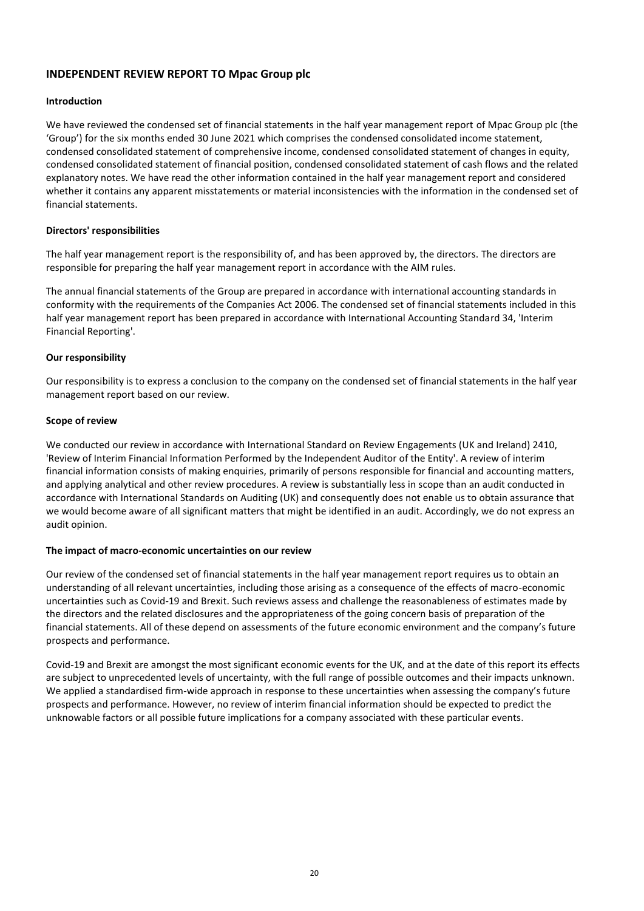# **INDEPENDENT REVIEW REPORT TO Mpac Group plc**

### **Introduction**

We have reviewed the condensed set of financial statements in the half year management report of Mpac Group plc (the 'Group') for the six months ended 30 June 2021 which comprises the condensed consolidated income statement, condensed consolidated statement of comprehensive income, condensed consolidated statement of changes in equity, condensed consolidated statement of financial position, condensed consolidated statement of cash flows and the related explanatory notes. We have read the other information contained in the half year management report and considered whether it contains any apparent misstatements or material inconsistencies with the information in the condensed set of financial statements.

#### **Directors' responsibilities**

The half year management report is the responsibility of, and has been approved by, the directors. The directors are responsible for preparing the half year management report in accordance with the AIM rules.

The annual financial statements of the Group are prepared in accordance with international accounting standards in conformity with the requirements of the Companies Act 2006. The condensed set of financial statements included in this half year management report has been prepared in accordance with International Accounting Standard 34, 'Interim Financial Reporting'.

#### **Our responsibility**

Our responsibility is to express a conclusion to the company on the condensed set of financial statements in the half year management report based on our review.

#### **Scope of review**

We conducted our review in accordance with International Standard on Review Engagements (UK and Ireland) 2410, 'Review of Interim Financial Information Performed by the Independent Auditor of the Entity'. A review of interim financial information consists of making enquiries, primarily of persons responsible for financial and accounting matters, and applying analytical and other review procedures. A review is substantially less in scope than an audit conducted in accordance with International Standards on Auditing (UK) and consequently does not enable us to obtain assurance that we would become aware of all significant matters that might be identified in an audit. Accordingly, we do not express an audit opinion.

#### **The impact of macro-economic uncertainties on our review**

Our review of the condensed set of financial statements in the half year management report requires us to obtain an understanding of all relevant uncertainties, including those arising as a consequence of the effects of macro-economic uncertainties such as Covid-19 and Brexit. Such reviews assess and challenge the reasonableness of estimates made by the directors and the related disclosures and the appropriateness of the going concern basis of preparation of the financial statements. All of these depend on assessments of the future economic environment and the company's future prospects and performance.

Covid-19 and Brexit are amongst the most significant economic events for the UK, and at the date of this report its effects are subject to unprecedented levels of uncertainty, with the full range of possible outcomes and their impacts unknown. We applied a standardised firm-wide approach in response to these uncertainties when assessing the company's future prospects and performance. However, no review of interim financial information should be expected to predict the unknowable factors or all possible future implications for a company associated with these particular events.